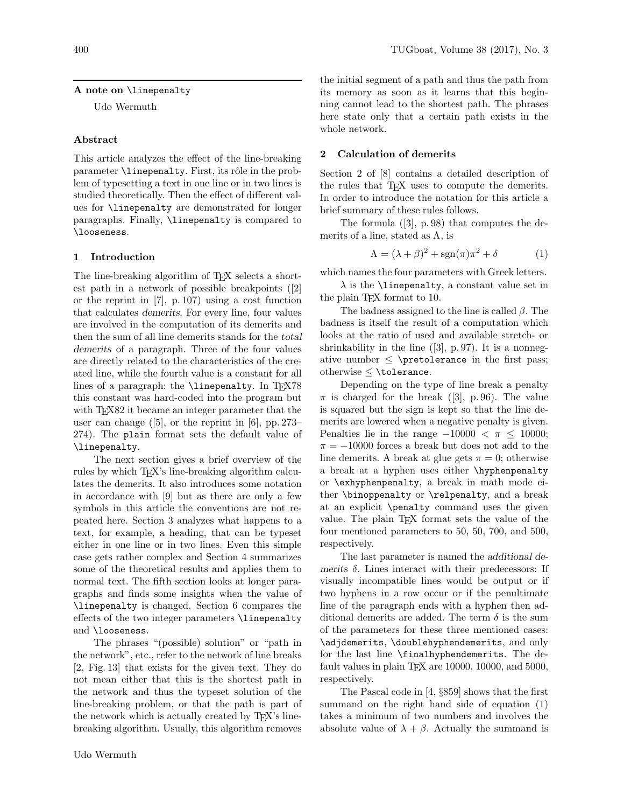# A note on \linepenalty

Udo Wermuth

# Abstract

This article analyzes the effect of the line-breaking parameter **\linepenalty**. First, its rôle in the problem of typesetting a text in one line or in two lines is studied theoretically. Then the effect of different values for \linepenalty are demonstrated for longer paragraphs. Finally, \linepenalty is compared to \looseness.

# 1 Introduction

The line-breaking algorithm of T<sub>EX</sub> selects a shortest path in a network of possible breakpoints ([2] or the reprint in [7], p. 107) using a cost function that calculates demerits. For every line, four values are involved in the computation of its demerits and then the sum of all line demerits stands for the total demerits of a paragraph. Three of the four values are directly related to the characteristics of the created line, while the fourth value is a constant for all lines of a paragraph: the **\linepenalty**. In TEX78 this constant was hard-coded into the program but with T<sub>E</sub>X82 it became an integer parameter that the user can change  $([5]$ , or the reprint in [6], pp. 273– 274). The plain format sets the default value of \linepenalty.

The next section gives a brief overview of the rules by which TEX's line-breaking algorithm calculates the demerits. It also introduces some notation in accordance with [9] but as there are only a few symbols in this article the conventions are not repeated here. Section 3 analyzes what happens to a text, for example, a heading, that can be typeset either in one line or in two lines. Even this simple case gets rather complex and Section 4 summarizes some of the theoretical results and applies them to normal text. The fifth section looks at longer paragraphs and finds some insights when the value of \linepenalty is changed. Section 6 compares the effects of the two integer parameters \linepenalty and \looseness.

The phrases "(possible) solution" or "path in the network", etc., refer to the network of line breaks [2, Fig. 13] that exists for the given text. They do not mean either that this is the shortest path in the network and thus the typeset solution of the line-breaking problem, or that the path is part of the network which is actually created by T<sub>EX</sub>'s linebreaking algorithm. Usually, this algorithm removes

the initial segment of a path and thus the path from its memory as soon as it learns that this beginning cannot lead to the shortest path. The phrases here state only that a certain path exists in the whole network.

# 2 Calculation of demerits

Section 2 of [8] contains a detailed description of the rules that T<sub>E</sub>X uses to compute the demerits. In order to introduce the notation for this article a brief summary of these rules follows.

The formula ([3], p. 98) that computes the demerits of a line, stated as  $\Lambda$ , is

$$
\Lambda = (\lambda + \beta)^2 + sgn(\pi)\pi^2 + \delta \tag{1}
$$

which names the four parameters with Greek letters.

 $\lambda$  is the **\linepenalty**, a constant value set in the plain T<sub>E</sub>X format to 10.

The badness assigned to the line is called  $\beta$ . The badness is itself the result of a computation which looks at the ratio of used and available stretch- or shrinkability in the line  $(3, p. 97)$ . It is a nonnegative number  $\leq$  \pretolerance in the first pass; otherwise ≤ \tolerance.

Depending on the type of line break a penalty  $\pi$  is charged for the break ([3], p. 96). The value is squared but the sign is kept so that the line demerits are lowered when a negative penalty is given. Penalties lie in the range  $-10000 < \pi \leq 10000$ ;  $\pi = -10000$  forces a break but does not add to the line demerits. A break at glue gets  $\pi = 0$ ; otherwise a break at a hyphen uses either \hyphenpenalty or \exhyphenpenalty, a break in math mode either \binoppenalty or \relpenalty, and a break at an explicit \penalty command uses the given value. The plain TEX format sets the value of the four mentioned parameters to 50, 50, 700, and 500, respectively.

The last parameter is named the additional demerits  $\delta$ . Lines interact with their predecessors: If visually incompatible lines would be output or if two hyphens in a row occur or if the penultimate line of the paragraph ends with a hyphen then additional demerits are added. The term  $\delta$  is the sum of the parameters for these three mentioned cases: \adjdemerits, \doublehyphendemerits, and only for the last line \finalhyphendemerits. The default values in plain TEX are 10000, 10000, and 5000, respectively.

The Pascal code in [4, §859] shows that the first summand on the right hand side of equation (1) takes a minimum of two numbers and involves the absolute value of  $\lambda + \beta$ . Actually the summand is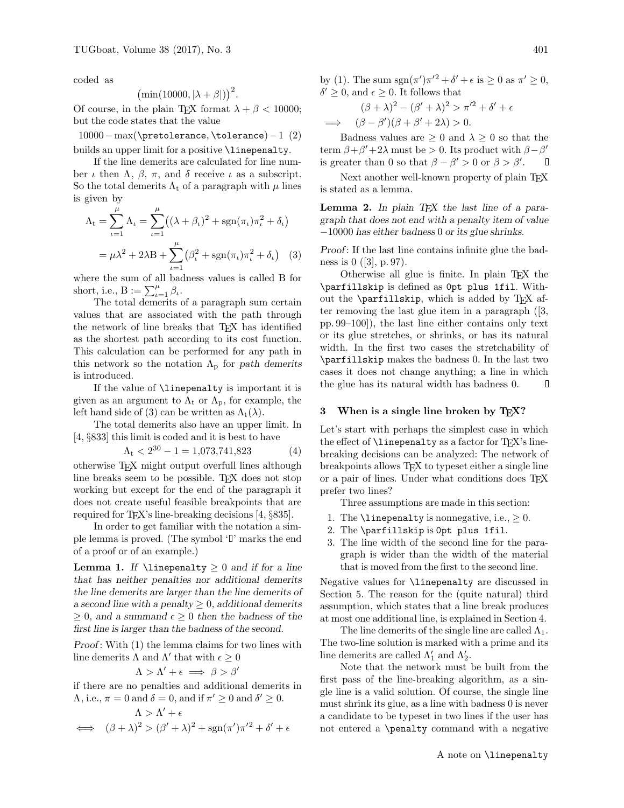coded as

$$
\big(\min(10000, |\lambda + \beta|)\big)^2.
$$

Of course, in the plain T<sub>E</sub>X format  $\lambda + \beta < 10000$ ; but the code states that the value

10000−max(\pretolerance, \tolerance)−1 (2) builds an upper limit for a positive \linepenalty.

If the line demerits are calculated for line number *ι* then  $Λ$ ,  $β$ ,  $π$ , and  $δ$  receive *ι* as a subscript. So the total demerits  $\Lambda_t$  of a paragraph with  $\mu$  lines is given by

$$
\Lambda_{t} = \sum_{\iota=1}^{\mu} \Lambda_{\iota} = \sum_{\iota=1}^{\mu} \left( (\lambda + \beta_{\iota})^{2} + \text{sgn}(\pi_{\iota}) \pi_{\iota}^{2} + \delta_{\iota} \right)
$$

$$
= \mu \lambda^{2} + 2\lambda B + \sum_{\iota=1}^{\mu} \left( \beta_{\iota}^{2} + \text{sgn}(\pi_{\iota}) \pi_{\iota}^{2} + \delta_{\iota} \right) \quad (3)
$$

where the sum of all badness values is called B for short, i.e.,  $B := \sum_{\iota=1}^{\mu} \beta_{\iota}$ .

The total demerits of a paragraph sum certain values that are associated with the path through the network of line breaks that TEX has identified as the shortest path according to its cost function. This calculation can be performed for any path in this network so the notation  $\Lambda_{\rm p}$  for path demerits is introduced.

If the value of \linepenalty is important it is given as an argument to  $\Lambda_t$  or  $\Lambda_p$ , for example, the left hand side of (3) can be written as  $\Lambda_t(\lambda)$ .

The total demerits also have an upper limit. In [4, §833] this limit is coded and it is best to have

$$
\Lambda_{\rm t} < 2^{30} - 1 = 1{,}073{,}741{,}823\tag{4}
$$

otherwise TEX might output overfull lines although line breaks seem to be possible. T<sub>EX</sub> does not stop working but except for the end of the paragraph it does not create useful feasible breakpoints that are required for TEX's line-breaking decisions [4, §835].

In order to get familiar with the notation a simple lemma is proved. (The symbol  $\mathcal{F}$  marks the end of a proof or of an example.)

**Lemma 1.** If  $\langle$  linepenalty  $\geq 0$  and if for a line that has neither penalties nor additional demerits the line demerits are larger than the line demerits of a second line with a penalty  $\geq 0$ , additional demerits  $\geq 0$ , and a summand  $\epsilon \geq 0$  then the badness of the first line is larger than the badness of the second.

Proof: With  $(1)$  the lemma claims for two lines with line demerits  $\Lambda$  and  $\Lambda'$  that with  $\epsilon \geq 0$ 

$$
\Lambda > \Lambda' + \epsilon \implies \beta > \beta'
$$

if there are no penalties and additional demerits in  $\Lambda$ , i.e.,  $\pi = 0$  and  $\delta = 0$ , and if  $\pi' \ge 0$  and  $\delta' \ge 0$ .

$$
\Lambda > \Lambda' + \epsilon
$$
  

$$
\iff (\beta + \lambda)^2 > (\beta' + \lambda)^2 + \text{sgn}(\pi')\pi'^2 + \delta' + \epsilon
$$

by (1). The sum  $sgn(\pi')\pi'^2 + \delta' + \epsilon$  is  $\geq 0$  as  $\pi' \geq 0$ ,  $\delta' \geq 0$ , and  $\epsilon \geq 0$ . It follows that

$$
(\beta + \lambda)^2 - (\beta' + \lambda)^2 > \pi'^2 + \delta' + \epsilon
$$
  
\n
$$
\implies (\beta - \beta')(\beta + \beta' + 2\lambda) > 0.
$$

Badness values are  $\geq 0$  and  $\lambda \geq 0$  so that the term  $\beta + \beta' + 2\lambda$  must be > 0. Its product with  $\beta - \beta'$ is greater than 0 so that  $\beta - \beta' > 0$  or  $\beta > \beta'$ .

Next another well-known property of plain T<sub>EX</sub> is stated as a lemma.

**Lemma 2.** In plain  $TEX$  the last line of a paragraph that does not end with a penalty item of value −10000 has either badness 0 or its glue shrinks.

Proof: If the last line contains infinite glue the badness is  $0$  ([3], p. 97).

Otherwise all glue is finite. In plain TEX the \parfillskip is defined as 0pt plus 1fil. Without the  $\partial$ - $\partial$   $\partial$   $\partial$   $\partial$   $\partial$   $\partial$   $\partial$  after removing the last glue item in a paragraph ([3, pp. 99–100]), the last line either contains only text or its glue stretches, or shrinks, or has its natural width. In the first two cases the stretchability of \parfillskip makes the badness 0. In the last two cases it does not change anything; a line in which the glue has its natural width has badness 0. D

### 3 When is a single line broken by TEX?

Let's start with perhaps the simplest case in which the effect of  $\langle$ linepenalty as a factor for T<sub>E</sub>X's linebreaking decisions can be analyzed: The network of breakpoints allows TEX to typeset either a single line or a pair of lines. Under what conditions does TEX prefer two lines?

Three assumptions are made in this section:

- 1. The  $\langle$ linepenalty is nonnegative, i.e.,  $> 0$ .
- 2. The \parfillskip is 0pt plus 1fil.
- 3. The line width of the second line for the paragraph is wider than the width of the material that is moved from the first to the second line.

Negative values for \linepenalty are discussed in Section 5. The reason for the (quite natural) third assumption, which states that a line break produces at most one additional line, is explained in Section 4.

The line demerits of the single line are called  $\Lambda_1$ . The two-line solution is marked with a prime and its line demerits are called  $\Lambda'_1$  and  $\Lambda'_2$ .

Note that the network must be built from the first pass of the line-breaking algorithm, as a single line is a valid solution. Of course, the single line must shrink its glue, as a line with badness 0 is never a candidate to be typeset in two lines if the user has not entered a \penalty command with a negative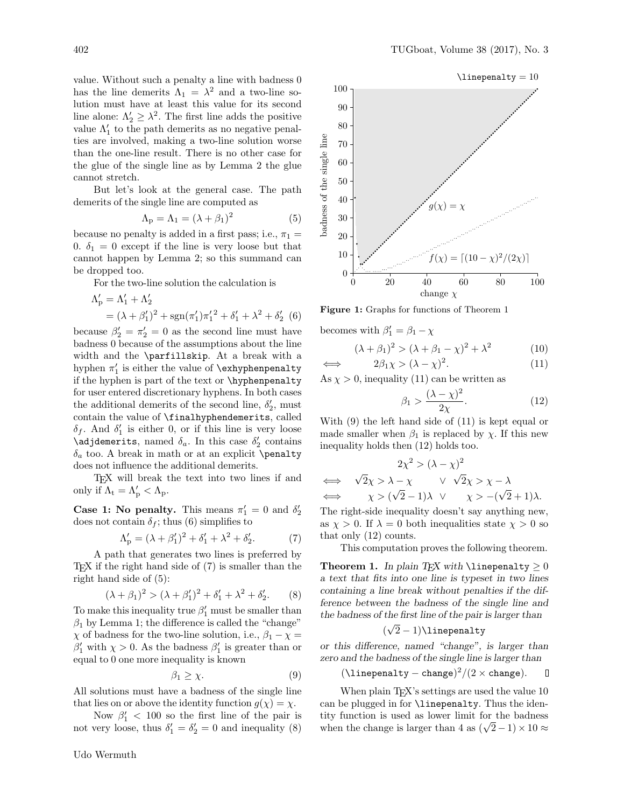value. Without such a penalty a line with badness 0 has the line demerits  $\Lambda_1 = \lambda^2$  and a two-line solution must have at least this value for its second line alone:  $\Lambda'_2 \geq \lambda^2$ . The first line adds the positive value  $\Lambda'_1$  to the path demerits as no negative penalties are involved, making a two-line solution worse than the one-line result. There is no other case for the glue of the single line as by Lemma 2 the glue cannot stretch.

But let's look at the general case. The path demerits of the single line are computed as

$$
\Lambda_{\rm p} = \Lambda_1 = (\lambda + \beta_1)^2 \tag{5}
$$

because no penalty is added in a first pass; i.e.,  $\pi_1 =$ 0.  $\delta_1 = 0$  except if the line is very loose but that cannot happen by Lemma 2; so this summand can be dropped too.

For the two-line solution the calculation is

$$
\Lambda'_{p} = \Lambda'_{1} + \Lambda'_{2}
$$
  
=  $(\lambda + \beta'_{1})^{2} + sgn(\pi'_{1})\pi'_{1}^{2} + \delta'_{1} + \lambda^{2} + \delta'_{2}$  (6)

because  $\beta'_2 = \pi'_2 = 0$  as the second line must have badness 0 because of the assumptions about the line width and the \parfillskip. At a break with a hyphen  $\pi'_1$  is either the value of **\exhyphenpenalty** if the hyphen is part of the text or \hyphenpenalty for user entered discretionary hyphens. In both cases the additional demerits of the second line,  $\delta_2'$ , must contain the value of \finalhyphendemerits, called  $\delta_f$ . And  $\delta'_1$  is either 0, or if this line is very loose  $\sqrt{adjh}$  demerits, named  $\delta_a$ . In this case  $\delta_2'$  contains  $\delta_a$  too. A break in math or at an explicit \penalty does not influence the additional demerits.

TEX will break the text into two lines if and only if  $\Lambda_t = \Lambda'_p < \Lambda_p$ .

**Case 1:** No penalty. This means  $\pi'_1 = 0$  and  $\delta'_2$ does not contain  $\delta_f$ ; thus (6) simplifies to

$$
\Lambda'_{\rm p} = (\lambda + \beta'_1)^2 + \delta'_1 + \lambda^2 + \delta'_2. \tag{7}
$$

A path that generates two lines is preferred by TEX if the right hand side of (7) is smaller than the right hand side of (5):

$$
(\lambda + \beta_1)^2 > (\lambda + \beta_1')^2 + \delta_1' + \lambda^2 + \delta_2'.
$$
 (8)

To make this inequality true  $\beta'_1$  must be smaller than  $\beta_1$  by Lemma 1; the difference is called the "change"  $\chi$  of badness for the two-line solution, i.e.,  $\beta_1 - \chi =$  $\beta'_1$  with  $\chi > 0$ . As the badness  $\beta'_1$  is greater than or equal to 0 one more inequality is known

$$
\beta_1 \ge \chi. \tag{9}
$$

All solutions must have a badness of the single line that lies on or above the identity function  $g(\chi) = \chi$ .

Now  $\beta'_1$  < 100 so the first line of the pair is not very loose, thus  $\delta_1' = \delta_2' = 0$  and inequality (8)



Figure 1: Graphs for functions of Theorem 1

becomes with  $\beta'_1 = \beta_1 - \chi$ 

$$
(\lambda + \beta_1)^2 > (\lambda + \beta_1 - \chi)^2 + \lambda^2 \tag{10}
$$

$$
\iff \qquad 2\beta_1\chi > (\lambda - \chi)^2. \tag{11}
$$

As  $\chi > 0$ , inequality (11) can be written as

$$
\beta_1 > \frac{(\lambda - \chi)^2}{2\chi}.\tag{12}
$$

With (9) the left hand side of (11) is kept equal or made smaller when  $\beta_1$  is replaced by  $\chi$ . If this new inequality holds then (12) holds too.

$$
2\chi^2 > (\lambda - \chi)^2
$$
  
\n
$$
\iff \sqrt{2}\chi > \lambda - \chi \qquad \lor \sqrt{2}\chi > \chi - \lambda
$$
  
\n
$$
\iff \chi > (\sqrt{2} - 1)\lambda \qquad \chi > -(\sqrt{2} + 1)\lambda.
$$

The right-side inequality doesn't say anything new, as  $\chi > 0$ . If  $\lambda = 0$  both inequalities state  $\chi > 0$  so that only (12) counts.

This computation proves the following theorem.

Theorem 1. In plain TEX with \linepenalty  $\geq 0$ a text that fits into one line is typeset in two lines containing a line break without penalties if the difference between the badness of the single line and the badness of the first line of the pair is larger than

$$
(\sqrt{2}-1)\verb+\linepenalty+
$$

or this difference, named "change", is larger than zero and the badness of the single line is larger than

$$
(\verb|\line||) = \verb|change|)^2 / (2 \times \verb|change|).
$$

When plain T<sub>EX</sub>'s settings are used the value 10 can be plugged in for \linepenalty. Thus the identity function is used as lower limit for the badness when the change is larger than 4 as  $(\sqrt{2}-1) \times 10 \approx$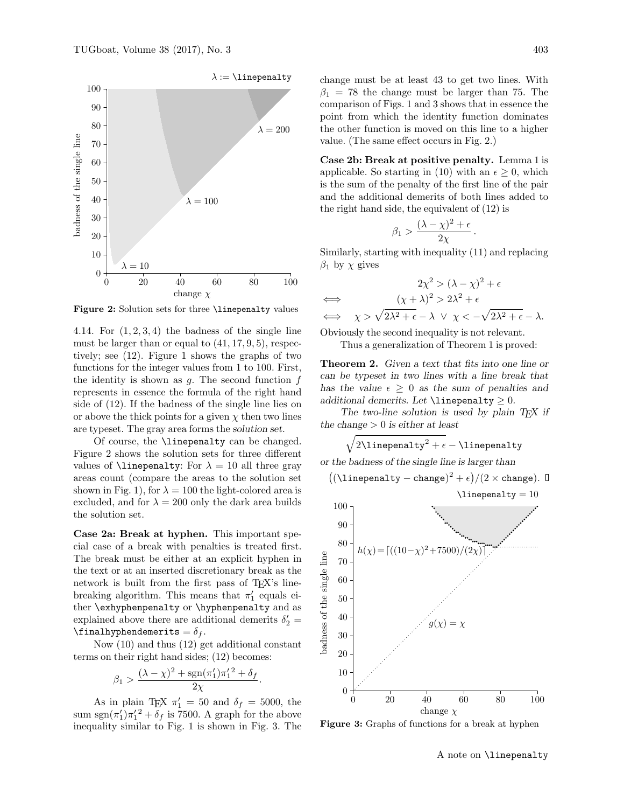

Figure 2: Solution sets for three *\linepenalty values* 

4.14. For  $(1, 2, 3, 4)$  the badness of the single line must be larger than or equal to  $(41, 17, 9, 5)$ , respectively; see (12). Figure 1 shows the graphs of two functions for the integer values from 1 to 100. First, the identity is shown as  $g$ . The second function  $f$ represents in essence the formula of the right hand side of (12). If the badness of the single line lies on or above the thick points for a given  $\chi$  then two lines are typeset. The gray area forms the solution set.

Of course, the \linepenalty can be changed. Figure 2 shows the solution sets for three different values of **\linepenalty:** For  $\lambda = 10$  all three gray areas count (compare the areas to the solution set shown in Fig. 1), for  $\lambda = 100$  the light-colored area is excluded, and for  $\lambda = 200$  only the dark area builds the solution set.

Case 2a: Break at hyphen. This important special case of a break with penalties is treated first. The break must be either at an explicit hyphen in the text or at an inserted discretionary break as the network is built from the first pass of TEX's linebreaking algorithm. This means that  $\pi'_1$  equals either \exhyphenpenalty or \hyphenpenalty and as explained above there are additional demerits  $\delta'_2$  = \finalhyphendemerits =  $\delta_f$ .

Now (10) and thus (12) get additional constant terms on their right hand sides; (12) becomes:

$$
\beta_1 > \frac{(\lambda - \chi)^2 + \operatorname{sgn}(\pi_1') \pi_1'^2 + \delta_f}{2\chi}.
$$

As in plain TEX  $\pi'_1 = 50$  and  $\delta_f = 5000$ , the sum sgn $(\pi'_1)\pi'_1{}^2 + \delta_f$  is 7500. A graph for the above inequality similar to Fig. 1 is shown in Fig. 3. The change must be at least 43 to get two lines. With  $\beta_1 = 78$  the change must be larger than 75. The comparison of Figs. 1 and 3 shows that in essence the point from which the identity function dominates the other function is moved on this line to a higher value. (The same effect occurs in Fig. 2.)

Case 2b: Break at positive penalty. Lemma 1 is applicable. So starting in (10) with an  $\epsilon \geq 0$ , which is the sum of the penalty of the first line of the pair and the additional demerits of both lines added to the right hand side, the equivalent of (12) is

$$
\beta_1 > \frac{(\lambda - \chi)^2 + \epsilon}{2\chi}
$$

.

Similarly, starting with inequality (11) and replacing  $\beta_1$  by  $\chi$  gives

$$
2\chi^2 > (\lambda - \chi)^2 + \epsilon
$$
  
\n
$$
\iff (\chi + \lambda)^2 > 2\lambda^2 + \epsilon
$$
  
\n
$$
\iff \chi > \sqrt{2\lambda^2 + \epsilon} - \lambda \lor \chi < -\sqrt{2\lambda^2 + \epsilon} - \lambda.
$$

Obviously the second inequality is not relevant. Thus a generalization of Theorem 1 is proved:

Theorem 2. Given a text that fits into one line or can be typeset in two lines with a line break that has the value  $\epsilon \geq 0$  as the sum of penalties and additional demerits. Let  $\lambda$ inepenalty  $\geq 0$ .

The two-line solution is used by plain  $T_F X$  if the change  $> 0$  is either at least

$$
\sqrt{2\text{linepenalty}^2+\epsilon}-\text{linepenalty}
$$

or the badness of the single line is larger than

$$
((\verb+\line|perality - change)^2 + \epsilon)/(2 \times \text{change}). \; \textbf{D}
$$



Figure 3: Graphs of functions for a break at hyphen

A note on \linepenalty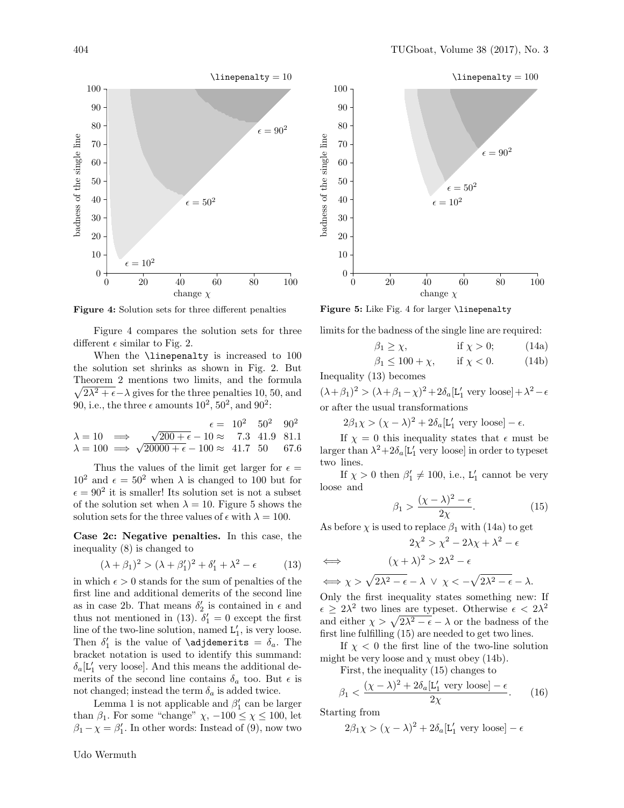

Figure 4: Solution sets for three different penalties

Figure 4 compares the solution sets for three different  $\epsilon$  similar to Fig. 2.

When the **\linepenalty** is increased to 100 the solution set shrinks as shown in Fig. 2. But Theorem 2 mentions two limits, and the formula  $\sqrt{2\lambda^2 + \epsilon} - \lambda$  gives for the three penalties 10, 50, and 90, i.e., the three  $\epsilon$  amounts  $10^2$ ,  $50^2$ , and  $90^2$ :

$$
\lambda = 10 \implies \sqrt{200 + \epsilon} - 10 \approx 7.3 \quad 41.9 \quad 81.1
$$
  

$$
\lambda = 100 \implies \sqrt{20000 + \epsilon} - 100 \approx 41.7 \quad 50 \quad 67.6
$$

Thus the values of the limit get larger for  $\epsilon =$  $10^2$  and  $\epsilon = 50^2$  when  $\lambda$  is changed to 100 but for  $\epsilon = 90^2$  it is smaller! Its solution set is not a subset of the solution set when  $\lambda = 10$ . Figure 5 shows the solution sets for the three values of  $\epsilon$  with  $\lambda = 100$ .

Case 2c: Negative penalties. In this case, the inequality (8) is changed to

$$
(\lambda + \beta_1)^2 > (\lambda + \beta_1')^2 + \delta_1' + \lambda^2 - \epsilon \tag{13}
$$

in which  $\epsilon > 0$  stands for the sum of penalties of the first line and additional demerits of the second line as in case 2b. That means  $\delta_2'$  is contained in  $\epsilon$  and thus not mentioned in (13).  $\tilde{\delta}'_1 = 0$  except the first line of the two-line solution, named  $L'_1$ , is very loose. Then  $\delta_1'$  is the value of **\adjdemerits** =  $\delta_a$ . The bracket notation is used to identify this summand:  $\delta_a$ [L'<sub>1</sub> very loose]. And this means the additional demerits of the second line contains  $\delta_a$  too. But  $\epsilon$  is not changed; instead the term  $\delta_a$  is added twice.

Lemma 1 is not applicable and  $\beta'_1$  can be larger than  $\beta_1$ . For some "change"  $\chi$ ,  $-100 \leq \chi \leq 100$ , let  $\beta_1 - \chi = \beta'_1$ . In other words: Instead of (9), now two



Figure 5: Like Fig. 4 for larger *\linepenalty* 

limits for the badness of the single line are required:

$$
\beta_1 \ge \chi, \qquad \text{if } \chi > 0; \qquad (14a)
$$
  

$$
\beta_1 \le 100 + \chi, \qquad \text{if } \chi < 0. \qquad (14b)
$$

Inequality (13) becomes

 $(\lambda + \beta_1)^2 > (\lambda + \beta_1 - \chi)^2 + 2\delta_a[\mathsf{L}_1' \text{ very loose}] + \lambda^2 - \epsilon$ or after the usual transformations

 $2\beta_1 \chi > (\chi - \lambda)^2 + 2\delta_a[\mathcal{L}_1' \text{ very loose}] - \epsilon.$ 

If  $\chi = 0$  this inequality states that  $\epsilon$  must be larger than  $\lambda^2 + 2\delta_a$  [L'<sub>1</sub> very loose] in order to typeset two lines.

If  $\chi > 0$  then  $\beta'_1 \neq 100$ , i.e.,  $L'_1$  cannot be very loose and

$$
\beta_1 > \frac{(\chi - \lambda)^2 - \epsilon}{2\chi}.\tag{15}
$$

As before  $\chi$  is used to replace  $\beta_1$  with (14a) to get

$$
2\chi^2 > \chi^2 - 2\lambda\chi + \lambda^2 - \epsilon
$$
  
\n
$$
\iff (\chi + \lambda)^2 > 2\lambda^2 - \epsilon
$$
  
\n
$$
\iff \chi > \sqrt{2\lambda^2 - \epsilon} - \lambda \lor \chi < -\sqrt{2\lambda^2 - \epsilon} - \lambda.
$$
  
\nOnly the first inequality states something new

Only the first inequality states something new: If  $\epsilon \geq 2\lambda^2$  two lines are typeset. Otherwise  $\epsilon < 2\lambda^2$ and either  $\chi > \sqrt{2\lambda^2 - \epsilon} - \lambda$  or the badness of the first line fulfilling (15) are needed to get two lines.

If  $\chi$  < 0 the first line of the two-line solution might be very loose and  $\chi$  must obey (14b).

First, the inequality (15) changes to

$$
\beta_1 < \frac{(\chi - \lambda)^2 + 2\delta_a[\mathcal{L}_1' \text{ very loose}] - \epsilon}{2\chi}.\tag{16}
$$

Starting from

$$
2\beta_1\chi>(\chi-\lambda)^2+2\delta_a[L_1'\text{ very loose}]-\epsilon
$$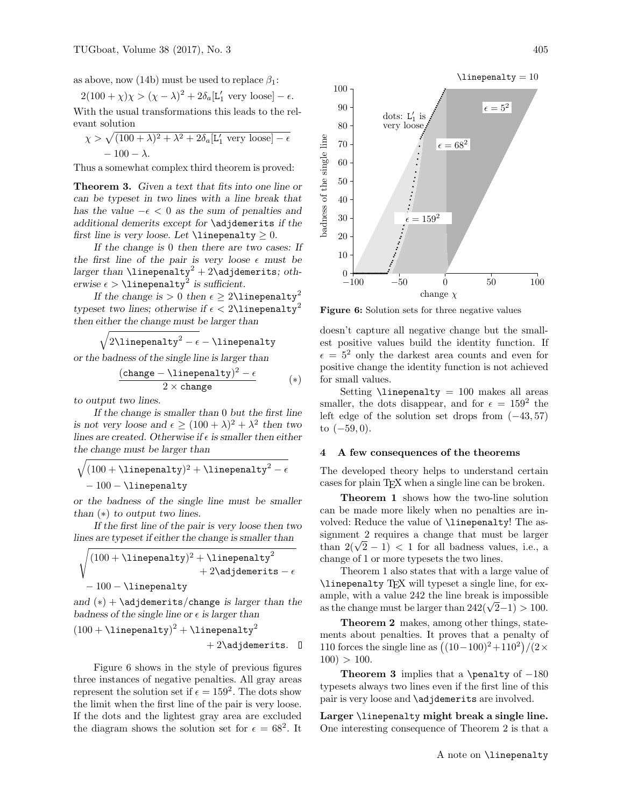as above, now (14b) must be used to replace  $\beta_1$ :

$$
2(100 + \chi)\chi > (\chi - \lambda)^2 + 2\delta_a[L'_1 \text{ very loose}] - \epsilon.
$$
 With the usual transformations this leads to the relevant solution

$$
\chi > \sqrt{(100 + \lambda)^2 + \lambda^2 + 2\delta_a[\mathcal{L}'_1 \text{ very loose}] - \epsilon}
$$
  
- 100 -  $\lambda$ .

Thus a somewhat complex third theorem is proved:

Theorem 3. Given a text that fits into one line or can be typeset in two lines with a line break that has the value  $-\epsilon < 0$  as the sum of penalties and additional demerits except for \adjdemerits if the first line is very loose. Let  $\line{\$ 

If the change is 0 then there are two cases: If the first line of the pair is very loose  $\epsilon$  must be larger than  $\lin$ epenalty<sup>2</sup> + 2\adjdemerits; otherwise  $\epsilon > \text{linepenalty}^2$  is sufficient.

If the change is  $> 0$  then  $\epsilon \geq 2\lambda$ linepenalty<sup>2</sup> typeset two lines; otherwise if  $\epsilon < 2\lambda$ inepenalty<sup>2</sup> then either the change must be larger than

$$
\sqrt{2\text{linepenalty}^2-\epsilon}-\text{linepenalty}
$$

or the badness of the single line is larger than

$$
\frac{(\texttt{change} - \texttt{\texttt{linepenalty}})^2 - \epsilon}{2 \times \texttt{change}} \qquad (*)
$$

to output two lines.

If the change is smaller than 0 but the first line is not very loose and  $\epsilon \ge (100 + \lambda)^2 + \lambda^2$  then two lines are created. Otherwise if  $\epsilon$  is smaller then either the change must be larger than

$$
\sqrt{(100 + \text{linepenalty})^2 + \text{linepenalty}^2 - \epsilon}
$$
  
- 100 - \text{linepenalty}

or the badness of the single line must be smaller than  $(*)$  to output two lines.

If the first line of the pair is very loose then two lines are typeset if either the change is smaller than

$$
\sqrt{(100 + \line\text{linepenalty})^2 + \line\text{linepenalty}^2 + 2\adjdemerits - \epsilon} + 100 - \line\text{linepenalty}}
$$

and  $(*) + \ad$  jdemerits/change is larger than the badness of the single line or  $\epsilon$  is larger than

$$
(100 + \text{linepenalty})^2 + \text{linepenalty}^2 + 2\text{adjdemerits.} \quad \Box
$$

Figure 6 shows in the style of previous figures three instances of negative penalties. All gray areas represent the solution set if  $\epsilon = 159^2$ . The dots show the limit when the first line of the pair is very loose. If the dots and the lightest gray area are excluded the diagram shows the solution set for  $\epsilon = 68^2$ . It



Figure 6: Solution sets for three negative values

doesn't capture all negative change but the smallest positive values build the identity function. If  $\epsilon = 5^2$  only the darkest area counts and even for positive change the identity function is not achieved for small values.

Setting  $\line{ \line} = 100$  makes all areas smaller, the dots disappear, and for  $\epsilon = 159^2$  the left edge of the solution set drops from  $(-43, 57)$ to  $(-59, 0)$ .

# 4 A few consequences of the theorems

The developed theory helps to understand certain cases for plain TEX when a single line can be broken.

Theorem 1 shows how the two-line solution can be made more likely when no penalties are involved: Reduce the value of \linepenalty! The assignment 2 requires a change that must be larger than  $2(\sqrt{2}-1)$  < 1 for all badness values, i.e., a change of 1 or more typesets the two lines.

Theorem 1 also states that with a large value of \linepenalty TEX will typeset a single line, for example, with a value 242 the line break is impossible as the change must be larger than  $242(\sqrt{2}-1) > 100$ .

Theorem 2 makes, among other things, statements about penalties. It proves that a penalty of 110 forces the single line as  $((10-100)^2+110^2)/(2 \times$  $100$ )  $> 100$ .

Theorem 3 implies that a \penalty of  $-180$ typesets always two lines even if the first line of this pair is very loose and **\adjdemerits** are involved.

Larger \linepenalty might break a single line. One interesting consequence of Theorem 2 is that a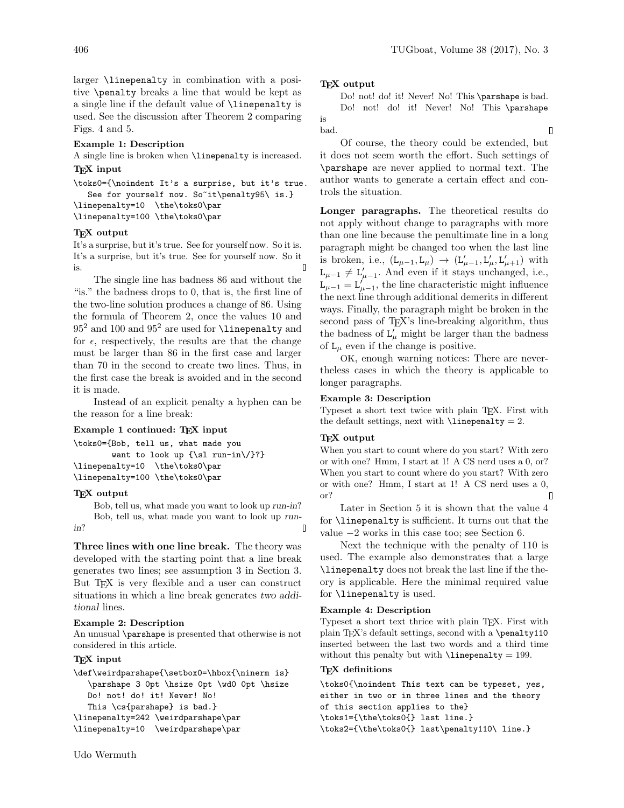larger \linepenalty in combination with a positive \penalty breaks a line that would be kept as a single line if the default value of \linepenalty is used. See the discussion after Theorem 2 comparing Figs. 4 and 5.

## Example 1: Description

A single line is broken when \linepenalty is increased.

# TEX input

\toks0={\noindent It's a surprise, but it's true. See for yourself now. So<sup>~</sup>it\penalty95\ is.} \linepenalty=10 \the\toks0\par \linepenalty=100 \the\toks0\par

### TEX output

It's a surprise, but it's true. See for yourself now. So it is. It's a surprise, but it's true. See for yourself now. So it  $\mathsf{\Pi}$ is.

The single line has badness 86 and without the "is." the badness drops to 0, that is, the first line of the two-line solution produces a change of 86. Using the formula of Theorem 2, once the values 10 and  $95<sup>2</sup>$  and 100 and  $95<sup>2</sup>$  are used for **\linepenalty** and for  $\epsilon$ , respectively, the results are that the change must be larger than 86 in the first case and larger than 70 in the second to create two lines. Thus, in the first case the break is avoided and in the second it is made.

Instead of an explicit penalty a hyphen can be the reason for a line break:

# Example 1 continued: TEX input

```
\toks0={Bob, tell us, what made you
        want to look up {\sl run-in\/}?}
\linepenalty=10 \the\toks0\par
\linepenalty=100 \the\toks0\par
```
### TEX output

Bob, tell us, what made you want to look up run-in? Bob, tell us, what made you want to look up runin?  $\blacksquare$ 

Three lines with one line break. The theory was developed with the starting point that a line break generates two lines; see assumption 3 in Section 3. But T<sub>F</sub>X is very flexible and a user can construct situations in which a line break generates two additional lines.

## Example 2: Description

An unusual \parshape is presented that otherwise is not considered in this article.

## TEX input

\def\weirdparshape{\setbox0=\hbox{\ninerm is} \parshape 3 0pt \hsize 0pt \wd0 0pt \hsize Do! not! do! it! Never! No! This \cs{parshape} is bad.} \linepenalty=242 \weirdparshape\par \linepenalty=10 \weirdparshape\par

# TEX output

Do! not! do! it! Never! No! This \parshape is bad. Do! not! do! it! Never! No! This \parshape is bad. 0

Of course, the theory could be extended, but it does not seem worth the effort. Such settings of \parshape are never applied to normal text. The author wants to generate a certain effect and controls the situation.

Longer paragraphs. The theoretical results do not apply without change to paragraphs with more than one line because the penultimate line in a long paragraph might be changed too when the last line is broken, i.e.,  $(L_{\mu-1}, L_{\mu}) \rightarrow (L'_{\mu-1}, L'_{\mu}, L'_{\mu+1})$  with  $L_{\mu-1} \neq L'_{\mu-1}$ . And even if it stays unchanged, i.e.,  $L_{\mu-1} = L_{\mu-1}^{\prime}$ , the line characteristic might influence the next line through additional demerits in different ways. Finally, the paragraph might be broken in the second pass of T<sub>EX</sub>'s line-breaking algorithm, thus the badness of  $L'_{\mu}$  might be larger than the badness of  $L_{\mu}$  even if the change is positive.

OK, enough warning notices: There are nevertheless cases in which the theory is applicable to longer paragraphs.

# Example 3: Description

Typeset a short text twice with plain TEX. First with the default settings, next with  $\lambda$ inepenalty = 2.

# TEX output

When you start to count where do you start? With zero or with one? Hmm, I start at 1! A CS nerd uses a 0, or? When you start to count where do you start? With zero or with one? Hmm, I start at 1! A CS nerd uses a 0, or?  $\overline{\Pi}$ 

Later in Section 5 it is shown that the value 4 for \linepenalty is sufficient. It turns out that the value −2 works in this case too; see Section 6.

Next the technique with the penalty of 110 is used. The example also demonstrates that a large \linepenalty does not break the last line if the theory is applicable. Here the minimal required value for \linepenalty is used.

## Example 4: Description

Typeset a short text thrice with plain TEX. First with plain T<sub>E</sub>X's default settings, second with a \penalty110 inserted between the last two words and a third time without this penalty but with  $\lin\epsilon = 199$ .

## TFX definitions

\toks0{\noindent This text can be typeset, yes, either in two or in three lines and the theory of this section applies to the} \toks1={\the\toks0{} last line.} \toks2={\the\toks0{} last\penalty110\ line.}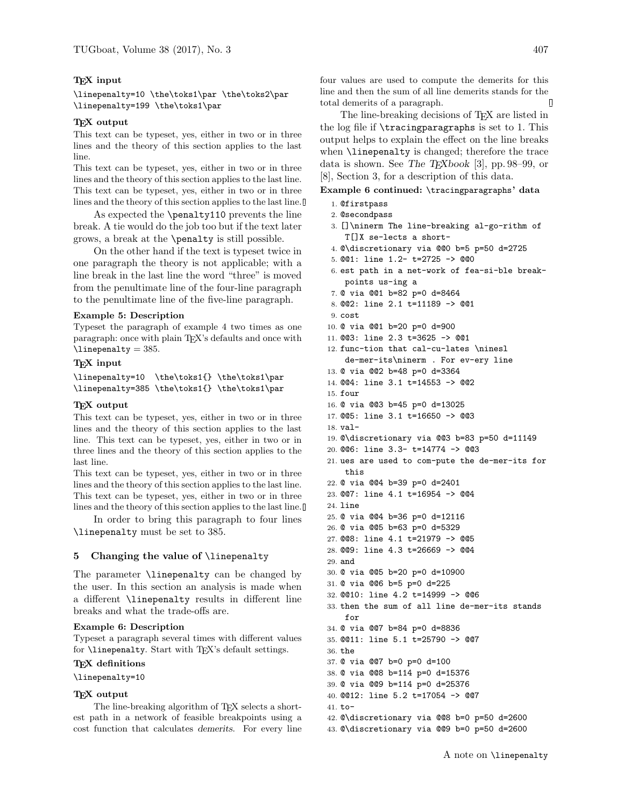## T<sub>F</sub>X input

\linepenalty=10 \the\toks1\par \the\toks2\par \linepenalty=199 \the\toks1\par

## TEX output

This text can be typeset, yes, either in two or in three lines and the theory of this section applies to the last line.

This text can be typeset, yes, either in two or in three lines and the theory of this section applies to the last line. This text can be typeset, yes, either in two or in three lines and the theory of this section applies to the last line.

As expected the \penalty110 prevents the line break. A tie would do the job too but if the text later grows, a break at the \penalty is still possible.

On the other hand if the text is typeset twice in one paragraph the theory is not applicable; with a line break in the last line the word "three" is moved from the penultimate line of the four-line paragraph to the penultimate line of the five-line paragraph.

## Example 5: Description

Typeset the paragraph of example 4 two times as one paragraph: once with plain TEX's defaults and once with  $\lvert$ linepenalty = 385.

# T<sub>F</sub>X input

\linepenalty=10 \the\toks1{} \the\toks1\par \linepenalty=385 \the\toks1{} \the\toks1\par

# TEX output

This text can be typeset, yes, either in two or in three lines and the theory of this section applies to the last line. This text can be typeset, yes, either in two or in three lines and the theory of this section applies to the last line.

This text can be typeset, yes, either in two or in three lines and the theory of this section applies to the last line. This text can be typeset, yes, either in two or in three lines and the theory of this section applies to the last line.

In order to bring this paragraph to four lines \linepenalty must be set to 385.

## 5 Changing the value of \linepenalty

The parameter \linepenalty can be changed by the user. In this section an analysis is made when a different \linepenalty results in different line breaks and what the trade-offs are.

### Example 6: Description

Typeset a paragraph several times with different values for **\linepenalty**. Start with TEX's default settings.

## T<sub>F</sub>X definitions

\linepenalty=10

## TEX output

The line-breaking algorithm of TEX selects a shortest path in a network of feasible breakpoints using a cost function that calculates demerits. For every line four values are used to compute the demerits for this line and then the sum of all line demerits stands for the total demerits of a paragraph.

The line-breaking decisions of TEX are listed in the log file if \tracingparagraphs is set to 1. This output helps to explain the effect on the line breaks when \linepenalty is changed; therefore the trace data is shown. See The T<sub>E</sub>Xbook [3], pp. 98–99, or [8], Section 3, for a description of this data.

# Example 6 continued: \tracingparagraphs' data

- 1. @firstpass
- 2. @secondpass
- 3. []\ninerm The line-breaking al-go-rithm of T[]X se-lects a short-
- 4. @\discretionary via @@0 b=5 p=50 d=2725
- 5. @@1: line 1.2- t=2725 -> @@0
- 6. est path in a net-work of fea-si-ble breakpoints us-ing a
- 7. @ via @@1 b=82 p=0 d=8464
- 8. @@2: line 2.1 t=11189 -> @@1
- 9. cost
- 10. @ via @@1 b=20 p=0 d=900
- 11. @@3: line 2.3 t=3625 -> @@1
- 12. func-tion that cal-cu-lates \ninesl de-mer-its\ninerm . For ev-ery line
- 13. @ via @@2 b=48 p=0 d=3364
- 14. @@4: line 3.1 t=14553 -> @@2
- 15. four
- 16. @ via @@3 b=45 p=0 d=13025
- 17. @@5: line 3.1 t=16650 -> @@3
- 18. val-
- 19. @\discretionary via @@3 b=83 p=50 d=11149
- 20. @@6: line 3.3- t=14774 -> @@3
- 21. ues are used to com-pute the de-mer-its for this

22. @ via @@4 b=39 p=0 d=2401

- 23. @@7: line 4.1 t=16954 -> @@4
- 24. line
- 25. @ via @@4 b=36 p=0 d=12116
- 26. @ via @@5 b=63 p=0 d=5329
- 27. @@8: line 4.1 t=21979 -> @@5
- 28. @@9: line 4.3 t=26669 -> @@4
- 29. and
- 30. @ via @@5 b=20 p=0 d=10900
- 31. @ via @@6 b=5 p=0 d=225
- 32. @@10: line 4.2 t=14999 -> @@6
- 33. then the sum of all line de-mer-its stands for
- 34. @ via @@7 b=84 p=0 d=8836
- 35. @@11: line 5.1 t=25790 -> @@7
- 36. the
- 37. @ via @@7 b=0 p=0 d=100
- 38. @ via @@8 b=114 p=0 d=15376
- 39. @ via @@9 b=114 p=0 d=25376
- 40. @@12: line 5.2 t=17054 -> @@7
- 41. to-
- 42. @\discretionary via @@8 b=0 p=50 d=2600 43. @\discretionary via @@9 b=0 p=50 d=2600
	-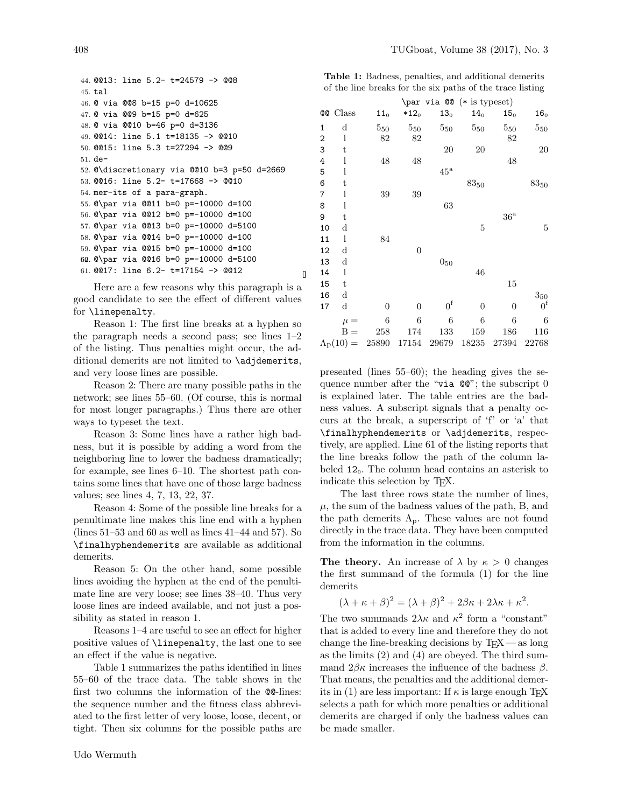```
44. @@13: line 5.2- t=24579 -> @@8
45. tal
46. @ via @@8 b=15 p=0 d=10625
47. @ via @@9 b=15 p=0 d=625
48. @ via @@10 b=46 p=0 d=3136
49. @@14: line 5.1 t=18135 -> @@10
50. @@15: line 5.3 t=27294 -> @@9
51. de-
52. @\discretionary via @@10 b=3 p=50 d=2669
53. @@16: line 5.2- t=17668 -> @@10
54. mer-its of a para-graph.
55. @\par via @@11 b=0 p=-10000 d=100
56. @\par via @@12 b=0 p=-10000 d=100
57. @\par via @@13 b=0 p=-10000 d=5100
58. @\par via @@14 b=0 p=-10000 d=100
59. @\par via @@15 b=0 p=-10000 d=100
60. @\par via @@16 b=0 p=-10000 d=5100
62.
61. @@17: line 6.2- t=17154 -> @@12
```
Here are a few reasons why this paragraph is a good candidate to see the effect of different values for \linepenalty.

 $\blacksquare$ 

Reason 1: The first line breaks at a hyphen so the paragraph needs a second pass; see lines 1–2 of the listing. Thus penalties might occur, the additional demerits are not limited to \adjdemerits, and very loose lines are possible.

Reason 2: There are many possible paths in the network; see lines 55–60. (Of course, this is normal for most longer paragraphs.) Thus there are other ways to typeset the text.

Reason 3: Some lines have a rather high badness, but it is possible by adding a word from the neighboring line to lower the badness dramatically; for example, see lines 6–10. The shortest path contains some lines that have one of those large badness values; see lines 4, 7, 13, 22, 37.

Reason 4: Some of the possible line breaks for a penultimate line makes this line end with a hyphen (lines 51–53 and 60 as well as lines 41–44 and 57). So \finalhyphendemerits are available as additional demerits.

Reason 5: On the other hand, some possible lines avoiding the hyphen at the end of the penultimate line are very loose; see lines 38–40. Thus very loose lines are indeed available, and not just a possibility as stated in reason 1.

Reasons 1–4 are useful to see an effect for higher positive values of \linepenalty, the last one to see an effect if the value is negative.

Table 1 summarizes the paths identified in lines 55–60 of the trace data. The table shows in the first two columns the information of the @@-lines: the sequence number and the fitness class abbreviated to the first letter of very loose, loose, decent, or tight. Then six columns for the possible paths are

| <b>Table 1:</b> Badness, penalties, and additional demerits |  |  |  |
|-------------------------------------------------------------|--|--|--|
| of the line breaks for the six paths of the trace listing   |  |  |  |

|              |                         |                  |                | $\par{1} 00 (* is typeset)$ |                      |                 |                      |
|--------------|-------------------------|------------------|----------------|-----------------------------|----------------------|-----------------|----------------------|
|              | <b>@@</b> Class         | 11 <sub>0</sub>  | $*120$         | 13 <sub>0</sub>             | 14 <sub>0</sub>      | 15 <sub>0</sub> | $16_0$               |
| 1            | d                       | 550              | $5_{50}$       | $5_{50}$                    | $5_{50}$             | $5_{50}$        | $5_{50}$             |
| $\mathbf{2}$ | 1                       | 82               | 82             |                             |                      | 82              |                      |
| 3            | t                       |                  |                | 20                          | 20                   |                 | 20                   |
| 4            | 1                       | 48               | 48             |                             |                      | 48              |                      |
| 5            | 1                       |                  |                | $45^{\rm {a}}$              |                      |                 |                      |
| 6            | t                       |                  |                |                             | $83_{\color{red}50}$ |                 | $83_{\color{red}50}$ |
| 7            | 1                       | 39               | 39             |                             |                      |                 |                      |
| 8            | 1                       |                  |                | 63                          |                      |                 |                      |
| 9            | t                       |                  |                |                             |                      | $36^{\rm {a}}$  |                      |
| 10           | d                       |                  |                |                             | 5                    |                 | 5                    |
| 11           | 1                       | 84               |                |                             |                      |                 |                      |
| 12           | d                       |                  | $\overline{0}$ |                             |                      |                 |                      |
| 13           | d                       |                  |                | $0_{\rm 50}$                |                      |                 |                      |
| 14           | l                       |                  |                |                             | 46                   |                 |                      |
| 15           | t                       |                  |                |                             |                      | 15              |                      |
| 16           | d                       |                  |                |                             |                      |                 | $3_{\rm 50}$         |
| 17           | d                       | $\boldsymbol{0}$ | $\overline{0}$ | $0^{\rm f}$                 | 0                    | $\overline{0}$  | 0 <sup>f</sup>       |
|              | $\mu =$                 | 6                | 6              | 6                           | 6                    | 6               | 6                    |
|              | $B =$                   | 258              | 174            | 133                         | 159                  | 186             | 116                  |
|              | $\Lambda_{\rm p}(10) =$ | 25890            | 17154          | 29679                       | 18235                | 27394           | 22768                |

presented (lines 55–60); the heading gives the sequence number after the "via @@"; the subscript 0 is explained later. The table entries are the badness values. A subscript signals that a penalty occurs at the break, a superscript of 'f' or 'a' that \finalhyphendemerits or \adjdemerits, respectively, are applied. Line 61 of the listing reports that the line breaks follow the path of the column labeled  $12_0$ . The column head contains an asterisk to indicate this selection by TEX.

The last three rows state the number of lines,  $\mu$ , the sum of the badness values of the path, B, and the path demerits  $\Lambda_{p}$ . These values are not found directly in the trace data. They have been computed from the information in the columns.

**The theory.** An increase of  $\lambda$  by  $\kappa > 0$  changes the first summand of the formula (1) for the line demerits

$$
(\lambda + \kappa + \beta)^2 = (\lambda + \beta)^2 + 2\beta\kappa + 2\lambda\kappa + \kappa^2.
$$

The two summands  $2\lambda\kappa$  and  $\kappa^2$  form a "constant" that is added to every line and therefore they do not change the line-breaking decisions by  $T_FX$  — as long as the limits (2) and (4) are obeyed. The third summand  $2\beta\kappa$  increases the influence of the badness  $\beta$ . That means, the penalties and the additional demerits in (1) are less important: If  $\kappa$  is large enough T<sub>E</sub>X selects a path for which more penalties or additional demerits are charged if only the badness values can be made smaller.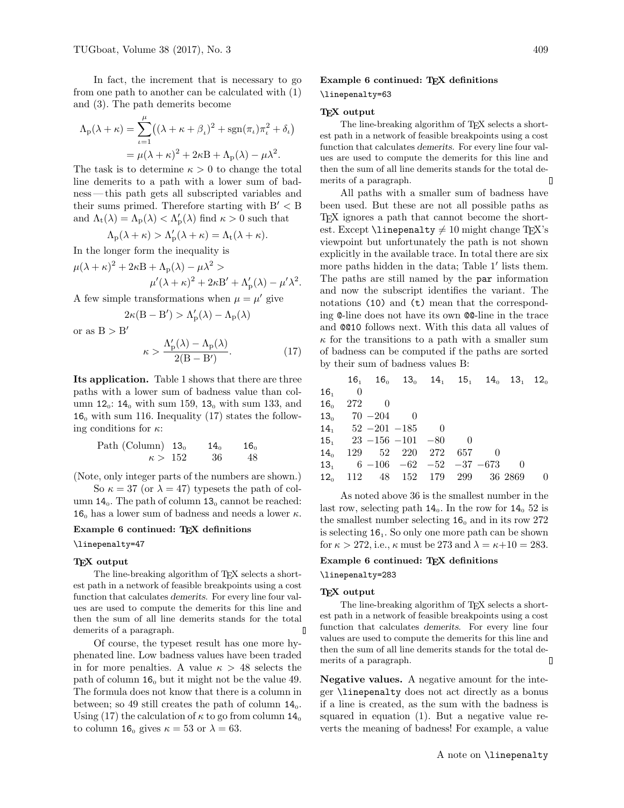In fact, the increment that is necessary to go from one path to another can be calculated with (1) and (3). The path demerits become

$$
\Lambda_{\rm p}(\lambda + \kappa) = \sum_{\iota=1}^{\mu} \left( (\lambda + \kappa + \beta_{\iota})^2 + \text{sgn}(\pi_{\iota}) \pi_{\iota}^2 + \delta_{\iota} \right)
$$

$$
= \mu(\lambda + \kappa)^2 + 2\kappa \mathbf{B} + \Lambda_{\rm p}(\lambda) - \mu \lambda^2.
$$

The task is to determine  $\kappa > 0$  to change the total line demerits to a path with a lower sum of badness — this path gets all subscripted variables and their sums primed. Therefore starting with  $B' < B$ and  $\Lambda_t(\lambda) = \Lambda_p(\lambda) < \Lambda'_p(\lambda)$  find  $\kappa > 0$  such that

$$
\Lambda_{\rm p}(\lambda + \kappa) > \Lambda'_{\rm p}(\lambda + \kappa) = \Lambda_{\rm t}(\lambda + \kappa).
$$

In the longer form the inequality is

 $\mu(\lambda + \kappa)^2 + 2\kappa B + \Lambda_{\rm p}(\lambda) - \mu \lambda^2 >$  $\mu'(\lambda + \kappa)^2 + 2\kappa B' + \Lambda'_{\rm p}(\lambda) - \mu' \lambda^2.$ 

A few simple transformations when  $\mu = \mu'$  give

$$
2\kappa(B-B')>\Lambda'_p(\lambda)-\Lambda_p(\lambda)
$$

or as  $B > B'$ 

$$
\kappa > \frac{\Lambda'_{\rm p}(\lambda) - \Lambda_{\rm p}(\lambda)}{2(B - B')}.\tag{17}
$$

Its application. Table 1 shows that there are three paths with a lower sum of badness value than column  $12_0$ :  $14_0$  with sum  $159$ ,  $13_0$  with sum  $133$ , and  $16<sub>o</sub>$  with sum 116. Inequality (17) states the following conditions for  $\kappa$ :

Path (Column) 13<sub>0</sub> 14<sub>0</sub> 16<sub>0</sub>  

$$
\kappa > 152
$$
 36 48

(Note, only integer parts of the numbers are shown.)

So  $\kappa = 37$  (or  $\lambda = 47$ ) typesets the path of column  $14_0$ . The path of column  $13_0$  cannot be reached: 16<sub>0</sub> has a lower sum of badness and needs a lower  $\kappa$ .

## Example 6 continued: TEX definitions

\linepenalty=47

### TEX output

The line-breaking algorithm of TEX selects a shortest path in a network of feasible breakpoints using a cost function that calculates demerits. For every line four values are used to compute the demerits for this line and then the sum of all line demerits stands for the total demerits of a paragraph.  $\mathbf{D}$ 

Of course, the typeset result has one more hyphenated line. Low badness values have been traded in for more penalties. A value  $\kappa > 48$  selects the path of column  $16<sub>o</sub>$  but it might not be the value 49. The formula does not know that there is a column in between; so 49 still creates the path of column  $14_0$ . Using (17) the calculation of  $\kappa$  to go from column 14<sub>0</sub> to column 16<sub>0</sub> gives  $\kappa = 53$  or  $\lambda = 63$ .

# Example 6 continued: TFX definitions

# \linepenalty=63

### TEX output

The line-breaking algorithm of T<sub>E</sub>X selects a shortest path in a network of feasible breakpoints using a cost function that calculates demerits. For every line four values are used to compute the demerits for this line and then the sum of all line demerits stands for the total demerits of a paragraph. П

All paths with a smaller sum of badness have been used. But these are not all possible paths as TEX ignores a path that cannot become the shortest. Except  $\line{\text{1} \text{10}}$  might change TEX's viewpoint but unfortunately the path is not shown explicitly in the available trace. In total there are six more paths hidden in the data; Table 1′ lists them. The paths are still named by the par information and now the subscript identifies the variant. The notations (10) and (t) mean that the corresponding @-line does not have its own @@-line in the trace and @@10 follows next. With this data all values of  $\kappa$  for the transitions to a path with a smaller sum of badness can be computed if the paths are sorted by their sum of badness values B:

|     |                     | $16_1$ $16_0$ $13_0$ $14_1$ $15_1$ $14_0$ $13_1$ $12_0$ |  |  |          |
|-----|---------------------|---------------------------------------------------------|--|--|----------|
| 16. | $\hspace{1.6cm} 0$  |                                                         |  |  |          |
|     | $16_{0}$ 272 0      |                                                         |  |  |          |
|     | $13_0$ $70 - 204$ 0 |                                                         |  |  |          |
|     |                     | $14, 52 - 201 - 185 0$                                  |  |  |          |
|     |                     | $15, \quad 23 - 156 - 101 - 80$                         |  |  |          |
|     |                     | $14_{0}$ $129$ $52$ $220$ $272$ $657$                   |  |  |          |
|     |                     | $13_1$ 6 $-106$ $-62$ $-52$ $-37$ $-673$                |  |  |          |
|     |                     | $12_0$ $112$ $48$ $152$ $179$ $299$ $36$ $2869$         |  |  | $\Omega$ |

As noted above 36 is the smallest number in the last row, selecting path  $14_0$ . In the row for  $14_0$  52 is the smallest number selecting  $16<sub>o</sub>$  and in its row 272 is selecting  $16<sub>1</sub>$ . So only one more path can be shown for  $\kappa > 272$ , i.e.,  $\kappa$  must be 273 and  $\lambda = \kappa + 10 = 283$ .

## Example 6 continued: TEX definitions

### \linepenalty=283

## T<sub>F</sub>X output

The line-breaking algorithm of TEX selects a shortest path in a network of feasible breakpoints using a cost function that calculates demerits. For every line four values are used to compute the demerits for this line and then the sum of all line demerits stands for the total demerits of a paragraph.  $\overline{\Pi}$ 

Negative values. A negative amount for the integer \linepenalty does not act directly as a bonus if a line is created, as the sum with the badness is squared in equation (1). But a negative value reverts the meaning of badness! For example, a value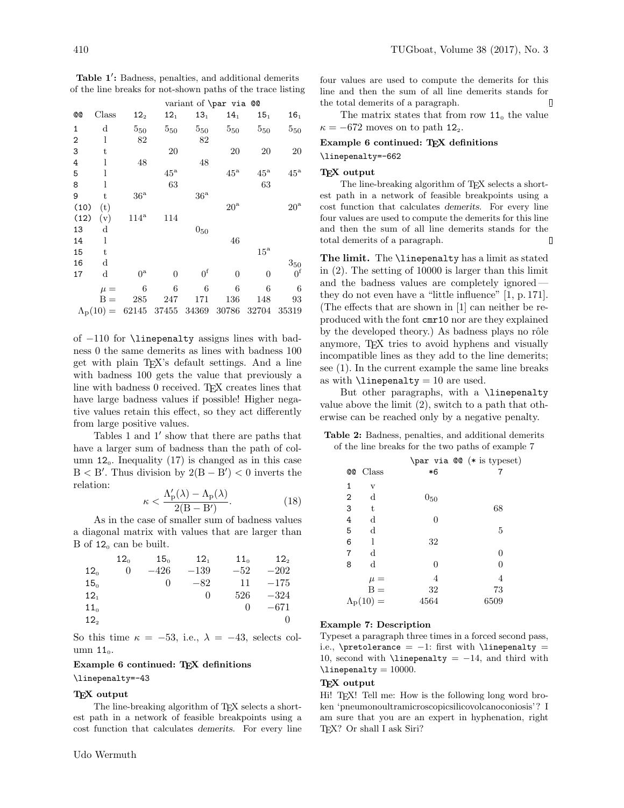|           |             |                 |                                                       | $\frac{1}{2}$   |                 |                   |                                                    |
|-----------|-------------|-----------------|-------------------------------------------------------|-----------------|-----------------|-------------------|----------------------------------------------------|
| <b>@@</b> | Class       | 12 <sub>2</sub> | 12 <sub>1</sub>                                       | 13 <sub>1</sub> | 14 <sub>1</sub> | 15 <sub>1</sub>   | 16 <sub>1</sub>                                    |
| 1         | d           | $5_{50}$        | $5_{50}$                                              | $5_{50}$        | $5_{50}$        | $5_{50}$          | $5_{50}$                                           |
| 2         | l           | 82              |                                                       | 82              |                 |                   |                                                    |
| 3         | t           |                 | 20                                                    |                 | 20              | 20                | <b>20</b>                                          |
| 4         | 1           | 48              |                                                       | 48              |                 |                   |                                                    |
| 5         | 1           |                 | $45^{\mathrm{a}}$                                     |                 | $45^{\rm a}$    | $45^{\mathrm{a}}$ | $45^{\mathrm{a}}$                                  |
| 8         | 1           |                 | 63                                                    |                 |                 | 63                |                                                    |
| 9         | t           | 36 <sup>a</sup> |                                                       | 36 <sup>a</sup> |                 |                   |                                                    |
| (10)      | (t)         |                 |                                                       |                 | $20^{\rm a}$    |                   | $20^{\rm a}$                                       |
| (12)      | (v)         | $114^{\rm a}$   | 114                                                   |                 |                 |                   |                                                    |
| 13        | $\mathbf d$ |                 |                                                       | $0_{50}$        |                 |                   |                                                    |
| 14        | 1           |                 |                                                       |                 | 46              |                   |                                                    |
| 15        | t           |                 |                                                       |                 |                 | $15^{\rm a}$      |                                                    |
| 16        | d           |                 |                                                       |                 |                 |                   | $\begin{array}{c} 3_{50} \\ 0^{\rm f} \end{array}$ |
| 17        | d           | $0^{\rm a}$     | $\overline{0}$                                        | 0 <sup>f</sup>  | $\overline{0}$  | $\overline{0}$    |                                                    |
|           | $\mu =$     | 6               | 6                                                     | 6               | 6               | 6                 | 6                                                  |
|           | $B =$       | 285             | 247                                                   | 171             | 136             | 148               | 93                                                 |
|           |             |                 | $\Lambda_{\rm p}(10) = 62145 \quad 37455 \quad 34369$ |                 | 30786           | 32704             | 35319                                              |

Table 1': Badness, penalties, and additional demerits of the line breaks for not-shown paths of the trace listing variant of \par via @@

of −110 for \linepenalty assigns lines with badness 0 the same demerits as lines with badness 100 get with plain TEX's default settings. And a line with badness 100 gets the value that previously a line with badness 0 received. TFX creates lines that have large badness values if possible! Higher negative values retain this effect, so they act differently from large positive values.

Tables 1 and 1' show that there are paths that have a larger sum of badness than the path of column  $12_0$ . Inequality (17) is changed as in this case  $B < B'$ . Thus division by  $2(B - B') < 0$  inverts the relation:

$$
\kappa < \frac{\Lambda'_{\mathbf{p}}(\lambda) - \Lambda_{\mathbf{p}}(\lambda)}{2(\mathbf{B} - \mathbf{B}')}.\tag{18}
$$

As in the case of smaller sum of badness values a diagonal matrix with values that are larger than B of  $12_0$  can be built.

|                 | $12_{0}$ | 15 <sub>o</sub> | 12 <sub>1</sub> | 11 <sub>0</sub> | 12 <sub>2</sub> |
|-----------------|----------|-----------------|-----------------|-----------------|-----------------|
| $12_{0}$        | 0        | $-426$          | $-139$          | $-52$           | $-202$          |
| 15 <sub>0</sub> |          | 0               | $-82\,$         | 11              | $-175$          |
| 12 <sub>1</sub> |          |                 | $\Omega$        | 526             | $-324$          |
| 11 <sub>0</sub> |          |                 |                 | $\Omega$        | $-671$          |
| 12 <sub>2</sub> |          |                 |                 |                 | 0               |

So this time  $\kappa = -53$ , i.e.,  $\lambda = -43$ , selects column  $11<sub>0</sub>$ .

### Example 6 continued: T<sub>E</sub>X definitions

\linepenalty=-43

### TEX output

The line-breaking algorithm of TEX selects a shortest path in a network of feasible breakpoints using a cost function that calculates demerits. For every line four values are used to compute the demerits for this line and then the sum of all line demerits stands for the total demerits of a paragraph.

The matrix states that from row  $11_0$  the value  $\kappa = -672$  moves on to path 12<sub>2</sub>.

### Example 6 continued: TFX definitions

### \linepenalty=-662

## T<sub>F</sub>X output

The line-breaking algorithm of TEX selects a shortest path in a network of feasible breakpoints using a cost function that calculates demerits. For every line four values are used to compute the demerits for this line and then the sum of all line demerits stands for the total demerits of a paragraph. 0

The limit. The *\linepenalty* has a limit as stated in (2). The setting of 10000 is larger than this limit and the badness values are completely ignored they do not even have a "little influence" [1, p. 171]. (The effects that are shown in [1] can neither be reproduced with the font cmr10 nor are they explained by the developed theory.) As badness plays no rôle anymore, TEX tries to avoid hyphens and visually incompatible lines as they add to the line demerits; see (1). In the current example the same line breaks as with  $\lin$ epenalty = 10 are used.

But other paragraphs, with a \linepenalty value above the limit (2), switch to a path that otherwise can be reached only by a negative penalty.

Table 2: Badness, penalties, and additional demerits of the line breaks for the two paths of example 7

|                |                         |          | \par via @@ (* is typeset) |
|----------------|-------------------------|----------|----------------------------|
| <b>@@</b>      | Class                   | $*6$     |                            |
| 1              | $\mathbf{V}$            |          |                            |
| $\overline{2}$ | $\rm d$                 | $0_{50}$ |                            |
| 3              | t                       |          | 68                         |
| 4              | d                       | 0        |                            |
| 5              | d                       |          | 5                          |
| 6              | 1                       | 32       |                            |
| 7              | d                       |          | 0                          |
| 8              | d                       | 0        | 0                          |
|                | $\mu =$                 | 4        | 4                          |
|                | $B =$                   | 32       | 73                         |
|                | $\Lambda_{\rm p}(10) =$ | 4564     | 6509                       |
|                |                         |          |                            |

### Example 7: Description

Typeset a paragraph three times in a forced second pass, i.e., \pretolerance =  $-1$ : first with \linepenalty = 10, second with  $\line \$  $\langle$ linepenalty = 10000.

## T<sub>F</sub>X output

Hi! TEX! Tell me: How is the following long word broken 'pneumonoultramicroscopicsilicovolcanoconiosis'? I am sure that you are an expert in hyphenation, right T<sub>F</sub>X? Or shall I ask Siri?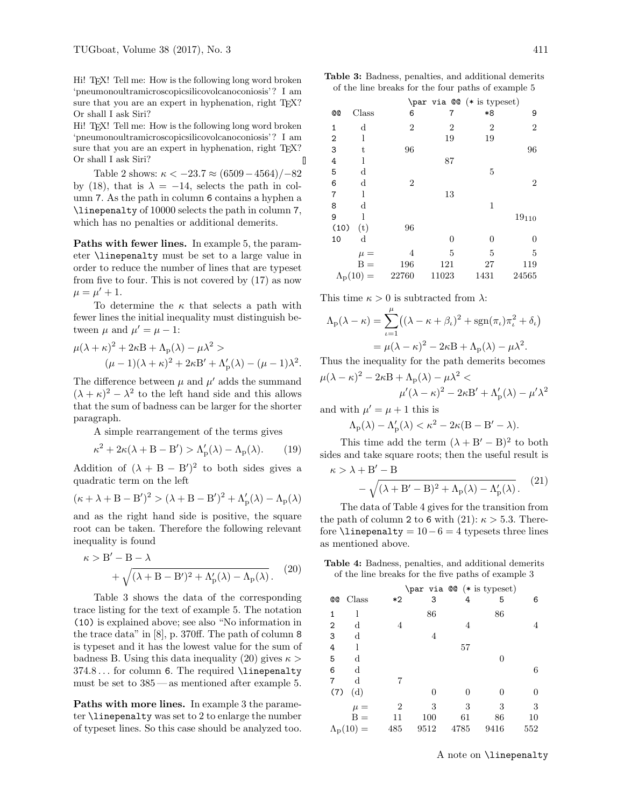Hi! TEX! Tell me: How is the following long word broken 'pneumonoultramicroscopicsilicovolcanoconiosis'? I am sure that you are an expert in hyphenation, right T<sub>E</sub>X? Or shall I ask Siri?

Hi! TEX! Tell me: How is the following long word broken 'pneumonoultramicroscopicsilicovolcanoconiosis'? I am sure that you are an expert in hyphenation, right T<sub>EX</sub>? Or shall I ask Siri? Л

Table 2 shows:  $\kappa < -23.7 \approx (6509 - 4564)/{-82}$ by (18), that is  $\lambda = -14$ , selects the path in column 7. As the path in column 6 contains a hyphen a \linepenalty of 10000 selects the path in column 7, which has no penalties or additional demerits.

Paths with fewer lines. In example 5, the parameter \linepenalty must be set to a large value in order to reduce the number of lines that are typeset from five to four. This is not covered by (17) as now  $\mu = \mu' + 1.$ 

To determine the  $\kappa$  that selects a path with fewer lines the initial inequality must distinguish between  $\mu$  and  $\mu' = \mu - 1$ :

$$
\mu(\lambda + \kappa)^2 + 2\kappa B + \Lambda_p(\lambda) - \mu \lambda^2 >
$$
  

$$
(\mu - 1)(\lambda + \kappa)^2 + 2\kappa B' + \Lambda_p'(\lambda) - (\mu - 1)\lambda^2.
$$

The difference between  $\mu$  and  $\mu'$  adds the summand  $(\lambda + \kappa)^2 - \lambda^2$  to the left hand side and this allows that the sum of badness can be larger for the shorter paragraph.

A simple rearrangement of the terms gives

$$
\kappa^2 + 2\kappa(\lambda + B - B') > \Lambda'_{\mathcal{P}}(\lambda) - \Lambda_{\mathcal{P}}(\lambda). \tag{19}
$$

Addition of  $(\lambda + B - B')^2$  to both sides gives a quadratic term on the left

$$
(\kappa+\lambda+B-B')^2>(\lambda+B-B')^2+\Lambda'_p(\lambda)-\Lambda_p(\lambda)
$$

and as the right hand side is positive, the square root can be taken. Therefore the following relevant inequality is found

$$
\begin{aligned} \kappa > \textbf{B}'-\textbf{B}-\lambda &+ \sqrt{(\lambda+\textbf{B}-\textbf{B}')^2+\Lambda'_\mathrm{p}(\lambda)-\Lambda_\mathrm{p}(\lambda)} \,. \end{aligned} \eqno{(20)}
$$

Table 3 shows the data of the corresponding trace listing for the text of example 5. The notation (10) is explained above; see also "No information in the trace data" in [8], p. 370ff. The path of column 8 is typeset and it has the lowest value for the sum of badness B. Using this data inequality (20) gives  $\kappa$ 374.8 . . . for column 6. The required \linepenalty must be set to 385 — as mentioned after example 5.

Paths with more lines. In example 3 the parameter \linepenalty was set to 2 to enlarge the number of typeset lines. So this case should be analyzed too.

|                                                    |  | <b>Table 3:</b> Badness, penalties, and additional demerits |
|----------------------------------------------------|--|-------------------------------------------------------------|
| of the line breaks for the four paths of example 5 |  |                                                             |

|                |                         |                |                | \par via @ (* is typeset) |                |
|----------------|-------------------------|----------------|----------------|---------------------------|----------------|
| <b>@@</b>      | Class                   | 6              | 7              | *8                        | 9              |
| 1              | d                       | $\overline{2}$ | $\overline{2}$ | $\overline{2}$            | 2              |
| $\overline{2}$ | l                       |                | 19             | 19                        |                |
| 3              | t                       | 96             |                |                           | 96             |
| 4              | l                       |                | 87             |                           |                |
| 5              | d                       |                |                | 5                         |                |
| 6              | $_{\rm d}$              | $\overline{2}$ |                |                           | $\overline{2}$ |
| $\overline{7}$ | 1                       |                | 13             |                           |                |
| 8              | $_{\rm d}$              |                |                | 1                         |                |
| 9              | 1                       |                |                |                           | $19_{110}$     |
| (10)           | (t)                     | 96             |                |                           |                |
| 10             | $_{\rm d}$              |                | $\theta$       | $\Omega$                  | 0              |
|                | $\mu =$                 | 4              | 5              | 5                         | 5              |
|                | $B =$                   | 196            | 121            | 27                        | 119            |
|                | $\Lambda_{\rm p}(10) =$ | 22760          | 11023          | 1431                      | 24565          |

This time  $\kappa > 0$  is subtracted from  $\lambda$ :

$$
\Lambda_{\rm p}(\lambda - \kappa) = \sum_{\iota=1}^{\mu} \left( (\lambda - \kappa + \beta_{\iota})^2 + \text{sgn}(\pi_{\iota}) \pi_{\iota}^2 + \delta_{\iota} \right)
$$

$$
= \mu(\lambda - \kappa)^2 - 2\kappa B + \Lambda_{\rm p}(\lambda) - \mu \lambda^2.
$$

Thus the inequality for the path demerits becomes  $\mu(\lambda - \kappa)^2 - 2\kappa B + \Lambda_{\rm p}(\lambda) - \mu \lambda^2 <$ 

$$
\mu'(\lambda - \kappa)^2 - 2\kappa \mathbf{B'} + \Lambda'_{\mathbf{p}}(\lambda) - \mu' \lambda^2
$$

and with  $\mu' = \mu + 1$  this is

$$
\Lambda_p(\lambda)-\Lambda_p'(\lambda)<\kappa^2-2\kappa(B-B'-\lambda).
$$

This time add the term  $(\lambda + B' - B)^2$  to both sides and take square roots; then the useful result is  $\kappa > \lambda + B' - B$ 

$$
-\sqrt{(\lambda+B'-B)^2+\Lambda_p(\lambda)-\Lambda_p'(\lambda)}.
$$
 (21)

The data of Table 4 gives for the transition from the path of column 2 to 6 with  $(21)$ :  $\kappa > 5.3$ . Therefore  $\text{linepenalty} = 10-6 = 4$  typesets three lines as mentioned above.

Table 4: Badness, penalties, and additional demerits of the line breaks for the five paths of example 3

|           |                         |      | \par via @@ (* is typeset) |      |      |     |
|-----------|-------------------------|------|----------------------------|------|------|-----|
| <b>@@</b> | Class                   | $*2$ | 3                          | 4    | 5    | 6   |
| 1         | 1                       |      | 86                         |      | 86   |     |
| 2         | d                       | 4    |                            | 4    |      | 4   |
| 3         | $\rm d$                 |      | 4                          |      |      |     |
| 4         | l                       |      |                            | 57   |      |     |
| 5         | $\rm d$                 |      |                            |      | 0    |     |
| 6         | d                       |      |                            |      |      | 6   |
| 7         | d                       | 7    |                            |      |      |     |
| (7)       | (d)                     |      | 0                          | 0    | 0    | 0   |
|           | $\mu =$                 | 2    | 3                          | 3    | 3    | 3   |
|           | $B =$                   | 11   | 100                        | 61   | 86   | 10  |
|           | $\Lambda_{\rm p}(10) =$ | 485  | 9512                       | 4785 | 9416 | 552 |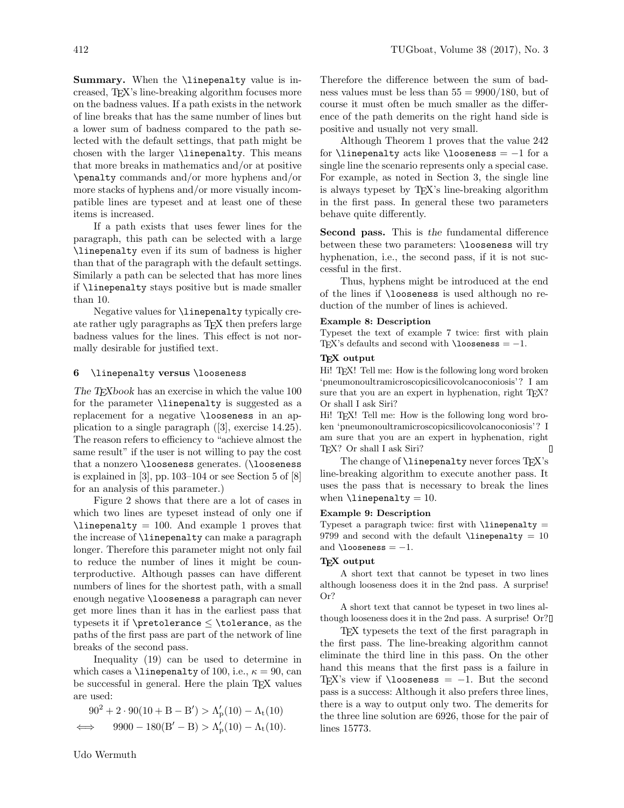Summary. When the \linepenalty value is increased, TEX's line-breaking algorithm focuses more on the badness values. If a path exists in the network of line breaks that has the same number of lines but a lower sum of badness compared to the path selected with the default settings, that path might be chosen with the larger \linepenalty. This means that more breaks in mathematics and/or at positive \penalty commands and/or more hyphens and/or more stacks of hyphens and/or more visually incompatible lines are typeset and at least one of these items is increased.

If a path exists that uses fewer lines for the paragraph, this path can be selected with a large \linepenalty even if its sum of badness is higher than that of the paragraph with the default settings. Similarly a path can be selected that has more lines if \linepenalty stays positive but is made smaller than 10.

Negative values for \linepenalty typically create rather ugly paragraphs as TEX then prefers large badness values for the lines. This effect is not normally desirable for justified text.

## 6 \linepenalty versus \looseness

The T<sub>E</sub>Xbook has an exercise in which the value 100 for the parameter \linepenalty is suggested as a replacement for a negative \looseness in an application to a single paragraph ([3], exercise 14.25). The reason refers to efficiency to "achieve almost the same result" if the user is not willing to pay the cost that a nonzero \looseness generates. (\looseness is explained in [3], pp. 103–104 or see Section 5 of [8] for an analysis of this parameter.)

Figure 2 shows that there are a lot of cases in which two lines are typeset instead of only one if  $\langle$ linepenalty = 100. And example 1 proves that the increase of \linepenalty can make a paragraph longer. Therefore this parameter might not only fail to reduce the number of lines it might be counterproductive. Although passes can have different numbers of lines for the shortest path, with a small enough negative \looseness a paragraph can never get more lines than it has in the earliest pass that typesets it if  $\preceq$   $\preceq$   $\preceq$   $\preceq$   $\preceq$   $\preceq$   $\preceq$   $\preceq$   $\preceq$   $\preceq$   $\preceq$   $\preceq$ paths of the first pass are part of the network of line breaks of the second pass.

Inequality (19) can be used to determine in which cases a \linepenalty of 100, i.e.,  $\kappa = 90$ , can be successful in general. Here the plain T<sub>EX</sub> values are used:

$$
\begin{aligned} 90^2 + 2 \cdot 90(10 + B - B') &> \Lambda'_p(10) - \Lambda_t(10) \\ \iff \quad 9900 - 180(B' - B) &> \Lambda'_p(10) - \Lambda_t(10). \end{aligned}
$$

Therefore the difference between the sum of badness values must be less than  $55 = 9900/180$ , but of course it must often be much smaller as the difference of the path demerits on the right hand side is positive and usually not very small.

Although Theorem 1 proves that the value 242 for \linepenalty acts like \looseness =  $-1$  for a single line the scenario represents only a special case. For example, as noted in Section 3, the single line is always typeset by TEX's line-breaking algorithm in the first pass. In general these two parameters behave quite differently.

Second pass. This is the fundamental difference between these two parameters: \looseness will try hyphenation, i.e., the second pass, if it is not successful in the first.

Thus, hyphens might be introduced at the end of the lines if \looseness is used although no reduction of the number of lines is achieved.

## Example 8: Description

Typeset the text of example 7 twice: first with plain T<sub>EX</sub>'s defaults and second with  $\lozenge$   $\lozenge$   $\lozenge$   $\lozenge$   $\lozenge$   $\lozenge$   $\lozenge$   $\lozenge$   $\lozenge$   $\lozenge$   $\lozenge$   $\lozenge$   $\lozenge$   $\lozenge$   $\lozenge$   $\lozenge$   $\lozenge$   $\lozenge$   $\lozenge$   $\lozenge$   $\lozenge$   $\lozenge$   $\lozenge$   $\lozenge$   $\lozenge$   $\lozenge$   $\lozenge$ 

# T<sub>F</sub>X output

Hi! TEX! Tell me: How is the following long word broken 'pneumonoultramicroscopicsilicovolcanoconiosis'? I am sure that you are an expert in hyphenation, right TFX? Or shall I ask Siri?

Hi! TEX! Tell me: How is the following long word broken 'pneumonoultramicroscopicsilicovolcanoconiosis'? I am sure that you are an expert in hyphenation, right T<sub>F</sub>X? Or shall I ask Siri?

The change of **\linepenalty** never forces T<sub>E</sub>X's line-breaking algorithm to execute another pass. It uses the pass that is necessary to break the lines when  $\lambda$ inepenalty = 10.

### Example 9: Description

Typeset a paragraph twice: first with  $\lin$ epenalty = 9799 and second with the default  $\line{}$  linepenalty = 10 and  $\lambda$ looseness =  $-1$ .

### TEX output

A short text that cannot be typeset in two lines although looseness does it in the 2nd pass. A surprise! Or?

A short text that cannot be typeset in two lines although looseness does it in the 2nd pass. A surprise! Or?

TEX typesets the text of the first paragraph in the first pass. The line-breaking algorithm cannot eliminate the third line in this pass. On the other hand this means that the first pass is a failure in T<sub>EX</sub>'s view if  $\lozenge$  looseness = -1. But the second pass is a success: Although it also prefers three lines, there is a way to output only two. The demerits for the three line solution are 6926, those for the pair of lines 15773.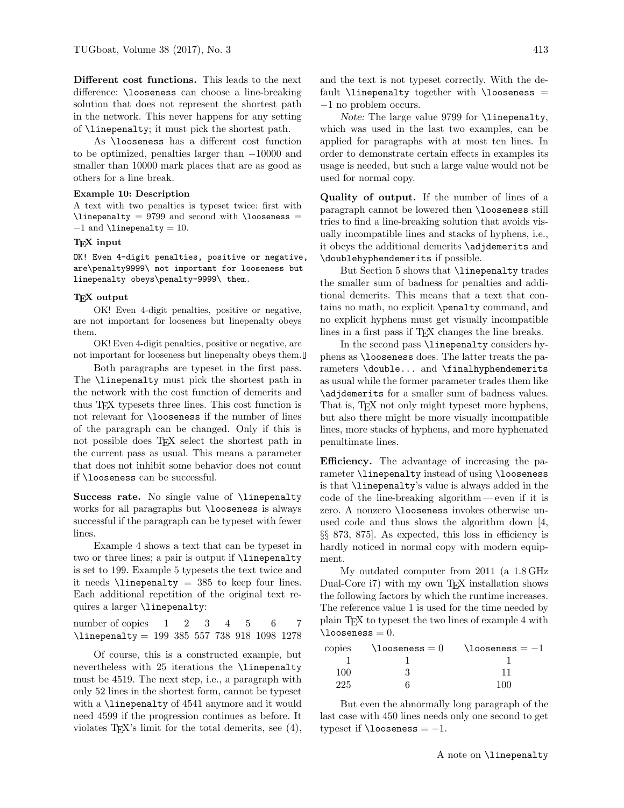Different cost functions. This leads to the next difference: \looseness can choose a line-breaking solution that does not represent the shortest path in the network. This never happens for any setting of \linepenalty; it must pick the shortest path.

As \looseness has a different cost function to be optimized, penalties larger than −10000 and smaller than 10000 mark places that are as good as others for a line break.

## Example 10: Description

A text with two penalties is typeset twice: first with  $\line{\text{linepenalty}} = 9799$  and second with  $\angle\text{looseness} =$  $-1$  and  $\langle$ linepenalty = 10.

## T<sub>F</sub>X input

OK! Even 4-digit penalties, positive or negative, are\penalty9999\ not important for looseness but linepenalty obeys\penalty-9999\ them.

# TEX output

OK! Even 4-digit penalties, positive or negative, are not important for looseness but linepenalty obeys them.

OK! Even 4-digit penalties, positive or negative, are not important for looseness but linepenalty obeys them.

Both paragraphs are typeset in the first pass. The \linepenalty must pick the shortest path in the network with the cost function of demerits and thus TEX typesets three lines. This cost function is not relevant for \looseness if the number of lines of the paragraph can be changed. Only if this is not possible does TEX select the shortest path in the current pass as usual. This means a parameter that does not inhibit some behavior does not count if \looseness can be successful.

Success rate. No single value of *\linepenalty* works for all paragraphs but \looseness is always successful if the paragraph can be typeset with fewer lines.

Example 4 shows a text that can be typeset in two or three lines; a pair is output if \linepenalty is set to 199. Example 5 typesets the text twice and it needs  $\linementy = 385$  to keep four lines. Each additional repetition of the original text requires a larger \linepenalty:

number of copies 1 2 3 4 5 6 7 \linepenalty = 199 385 557 738 918 1098 1278

Of course, this is a constructed example, but nevertheless with 25 iterations the \linepenalty must be 4519. The next step, i.e., a paragraph with only 52 lines in the shortest form, cannot be typeset with a \linepenalty of 4541 anymore and it would need 4599 if the progression continues as before. It violates TEX's limit for the total demerits, see (4), and the text is not typeset correctly. With the default  $\lin$ epenalty together with  $\lozenge$  hoseness = −1 no problem occurs.

Note: The large value 9799 for *\linepenalty*, which was used in the last two examples, can be applied for paragraphs with at most ten lines. In order to demonstrate certain effects in examples its usage is needed, but such a large value would not be used for normal copy.

Quality of output. If the number of lines of a paragraph cannot be lowered then \looseness still tries to find a line-breaking solution that avoids visually incompatible lines and stacks of hyphens, i.e., it obeys the additional demerits \adjdemerits and \doublehyphendemerits if possible.

But Section 5 shows that \linepenalty trades the smaller sum of badness for penalties and additional demerits. This means that a text that contains no math, no explicit \penalty command, and no explicit hyphens must get visually incompatible lines in a first pass if T<sub>E</sub>X changes the line breaks.

In the second pass *\linepenalty* considers hyphens as \looseness does. The latter treats the parameters \double... and \finalhyphendemerits as usual while the former parameter trades them like \adjdemerits for a smaller sum of badness values. That is, T<sub>F</sub>X not only might typeset more hyphens, but also there might be more visually incompatible lines, more stacks of hyphens, and more hyphenated penultimate lines.

Efficiency. The advantage of increasing the parameter \linepenalty instead of using \looseness is that \linepenalty's value is always added in the code of the line-breaking algorithm — even if it is zero. A nonzero \looseness invokes otherwise unused code and thus slows the algorithm down [4, §§ 873, 875]. As expected, this loss in efficiency is hardly noticed in normal copy with modern equipment.

My outdated computer from 2011 (a 1.8 GHz Dual-Core i7) with my own TEX installation shows the following factors by which the runtime increases. The reference value 1 is used for the time needed by plain TEX to typeset the two lines of example 4 with  $\lambda = 0$ .

| copies | $\lambda$ looseness $=0$ | $\lambda$ looseness $=-1$ |
|--------|--------------------------|---------------------------|
|        |                          |                           |
| 100    |                          |                           |
| 225    |                          | 1በበ                       |

But even the abnormally long paragraph of the last case with 450 lines needs only one second to get typeset if  $\lozenge$  looseness = -1.